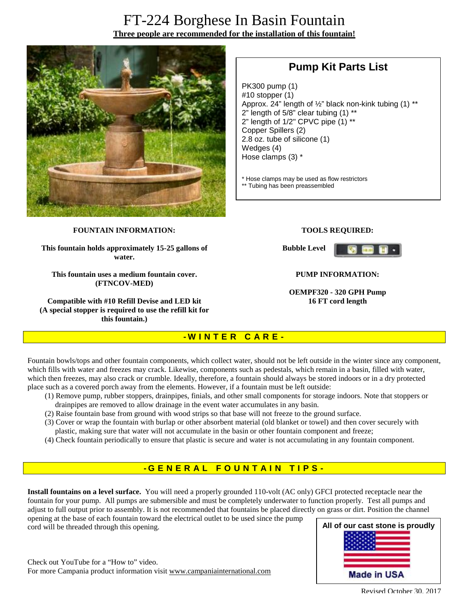# FT-224 Borghese In Basin Fountain **Three people are recommended for the installation of this fountain!**



# **Pump Kit Parts List**

PK300 pump (1) #10 stopper (1) Approx. 24" length of ½" black non-kink tubing (1) \*\*  $2"$  length of 5/8" clear tubing  $(1)$  \*\* 2" length of 1/2" CPVC pipe (1) \*\* Copper Spillers (2) 2.8 oz. tube of silicone (1) Wedges (4) Hose clamps (3) \*

\* Hose clamps may be used as flow restrictors \*\* Tubing has been preassembled

#### **FOUNTAIN INFORMATION:**

**This fountain holds approximately 15-25 gallons of water.** 

**This fountain uses a medium fountain cover. (FTNCOV-MED)** 

**Compatible with #10 Refill Devise and LED kit (A special stopper is required to use the refill kit for this fountain.)**

#### **TOOLS REQUIRED:**

**Bubble Level** 



#### **PUMP INFORMATION:**

**OEMPF320 - 320 GPH Pump 16 FT cord length**

#### **- W I N T E R C A R E -**

Fountain bowls/tops and other fountain components, which collect water, should not be left outside in the winter since any component, which fills with water and freezes may crack. Likewise, components such as pedestals, which remain in a basin, filled with water, which then freezes, may also crack or crumble. Ideally, therefore, a fountain should always be stored indoors or in a dry protected place such as a covered porch away from the elements. However, if a fountain must be left outside:

- (1) Remove pump, rubber stoppers, drainpipes, finials, and other small components for storage indoors. Note that stoppers or drainpipes are removed to allow drainage in the event water accumulates in any basin.
- (2) Raise fountain base from ground with wood strips so that base will not freeze to the ground surface.
- (3) Cover or wrap the fountain with burlap or other absorbent material (old blanket or towel) and then cover securely with plastic, making sure that water will not accumulate in the basin or other fountain component and freeze;
- (4) Check fountain periodically to ensure that plastic is secure and water is not accumulating in any fountain component.

### **- G ENE R A L F O U N T A I N T I P S -**

**Install fountains on a level surface.** You will need a properly grounded 110-volt (AC only) GFCI protected receptacle near the fountain for your pump. All pumps are submersible and must be completely underwater to function properly. Test all pumps and adjust to full output prior to assembly. It is not recommended that fountains be placed directly on grass or dirt. Position the channel

opening at the base of each fountain toward the electrical outlet to be used since the pump cord will be threaded through this opening.

Check out YouTube for a "How to" video. For more Campania product information visit [www.campaniainternational.com](http://www.campaniainternational.com)